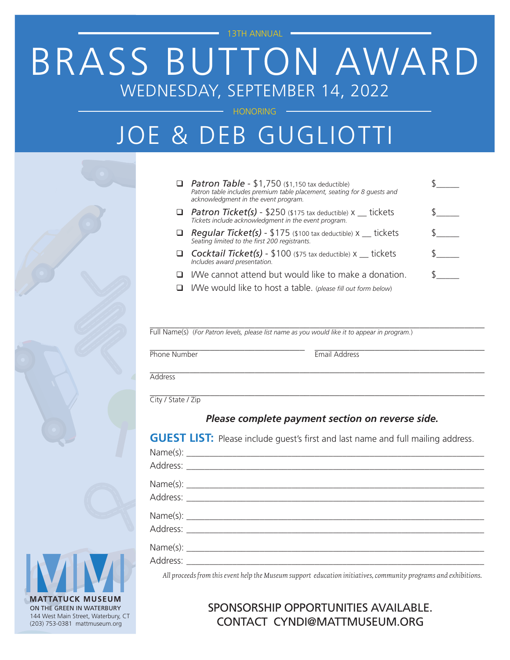13TH ANNUAL

# BRASS BUTTON AWARD WEDNESDAY, SEPTEMBER 14, 2022

**HONORING** 

## JOE & DEB GUGLIOTTI

- **q Patron Table** \$1,750 (\$1,150 tax deductible) \$ *Patron table includes premium table placement, seating for 8 guests and acknowledgment in the event program.*  $\Box$  Patron Ticket(s) - \$250 (\$175 tax deductible) x  $\_$  tickets  $\qquad \qquad \text{\ssim}$ *Tickets include acknowledgment in the event program.*
- **Q** Regular Ticket(s) \$175 (\$100 tax deductible) x \_\_ tickets \$\_\_\_\_\_ *Seating limited to the first 200 registrants.*
- **Q** Cocktail Ticket(s) \$100 (\$75 tax deductible)  $x$  \_\_\_ tickets *Includes award presentation.*
- $\Box$  I/We cannot attend but would like to make a donation.
- q I/We would like to host a table. (*please fill out form below*)

\_\_\_\_\_\_\_\_\_\_\_\_\_\_\_\_\_\_\_\_\_\_\_\_\_\_\_\_\_\_\_\_\_\_\_\_\_\_\_\_\_\_\_\_\_\_\_\_\_\_\_\_\_\_\_\_\_\_\_\_\_\_\_\_\_\_\_ Full Name(s) (*For Patron levels, please list name as you would like it to appear in program.*)

\_\_\_\_\_\_\_\_\_\_\_\_\_\_\_\_\_\_\_\_\_\_\_\_\_\_\_\_\_\_\_\_\_\_\_\_\_\_\_\_\_\_\_\_\_\_\_\_\_\_\_\_\_\_\_\_\_\_\_\_\_\_\_\_\_\_\_

position and the extended of the extended of the extended of the extended of the extended of the extended of the extended of the extended of the extended of the extended of the extended of the extended of the extended of t

**Address** 

\_\_\_\_\_\_\_\_\_\_\_\_\_\_\_\_\_\_\_\_\_\_\_\_\_\_\_\_\_\_\_\_\_\_\_\_\_\_\_\_\_\_\_\_\_\_\_\_\_\_\_\_\_\_\_\_\_\_\_\_\_\_\_\_\_\_\_ City / State / Zip

### *Please complete payment section on reverse side.*

**GUEST LIST:** Please include guest's first and last name and full mailing address.

*All proceeds from this event help the Museum support education initiatives, community programs and exhibitions.*

### SPONSORSHIP OPPORTUNITIES AVAILABLE. CONTACT CYNDI@MATTMUSEUM.ORG